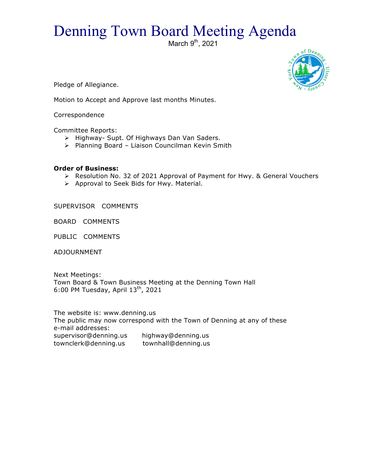## Denning Town Board Meeting Agenda

March  $9<sup>th</sup>$ , 2021



Pledge of Allegiance.

Motion to Accept and Approve last months Minutes.

Correspondence

Committee Reports:

- > Highway- Supt. Of Highways Dan Van Saders.
- $\triangleright$  Planning Board Liaison Councilman Kevin Smith

## **Order of Business:**

- > Resolution No. 32 of 2021 Approval of Payment for Hwy. & General Vouchers
- > Approval to Seek Bids for Hwy. Material.

SUPERVISOR COMMENTS

BOARD COMMENTS

PUBLIC COMMENTS

ADJOURNMENT

Next Meetings: Town Board & Town Business Meeting at the Denning Town Hall 6:00 PM Tuesday, April  $13<sup>th</sup>$ , 2021

The website is: www.denning.us The public may now correspond with the Town of Denning at any of these e-mail addresses: supervisor@denning.us highway@denning.us townclerk@denning.us townhall@denning.us